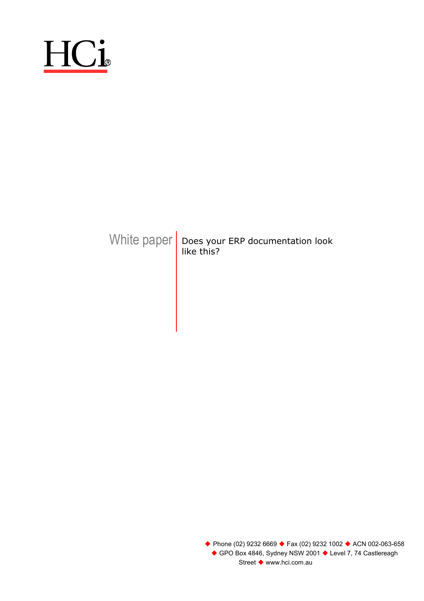# HCi

### White paper  $\vert$  Does your ERP documentation look like this?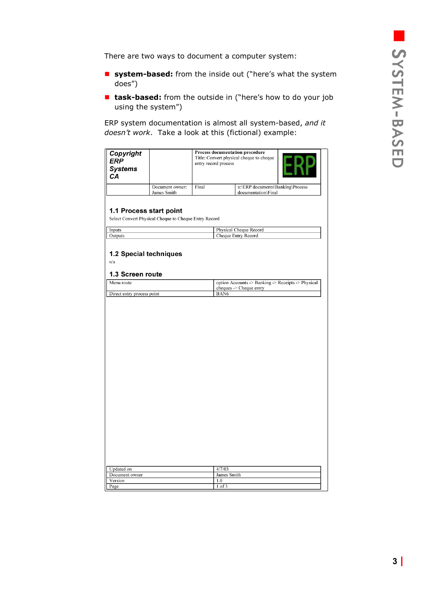<span id="page-2-0"></span>There are two ways to document a computer system:

- **system-based:** from the inside out ("here's what the system does")
- task-based: from the outside in ("here's how to do your job using the system")

ERP system documentation is almost all system-based, *and it doesn't work*. Take a look at this (fictional) example:

| Copyright<br><b>ERP</b><br><b>Systems</b><br>СA   |                                                                      | Process documentation procedure<br>Title: Convert physical cheque to cheque<br>entry record process |                    |                                                                               |  |
|---------------------------------------------------|----------------------------------------------------------------------|-----------------------------------------------------------------------------------------------------|--------------------|-------------------------------------------------------------------------------|--|
|                                                   | Document owner:                                                      | Final                                                                                               |                    | x:\ERP documents\Banking\Process                                              |  |
| 1.1 Process start point                           | James Smith<br>Select Convert Physical Cheque to Cheque Entry Record |                                                                                                     |                    | documentation\Final                                                           |  |
| Inputs<br>Outputs                                 |                                                                      |                                                                                                     |                    | Physical Cheque Record<br>Cheque Entry Record                                 |  |
| 1.2 Special techniques<br>n/a<br>1.3 Screen route |                                                                      |                                                                                                     |                    |                                                                               |  |
| Menu route                                        |                                                                      |                                                                                                     |                    | option Accounts -> Banking -> Receipts -> Physical<br>cheques -> Cheque entry |  |
| Direct entry process point                        |                                                                      |                                                                                                     | BAN6               |                                                                               |  |
|                                                   |                                                                      |                                                                                                     |                    |                                                                               |  |
| <b>Updated</b> on                                 |                                                                      |                                                                                                     | 4/7/03             |                                                                               |  |
| Document owner<br>Version                         |                                                                      |                                                                                                     | James Smith<br>1.0 |                                                                               |  |
| Page                                              |                                                                      |                                                                                                     | $1$ of $3$         |                                                                               |  |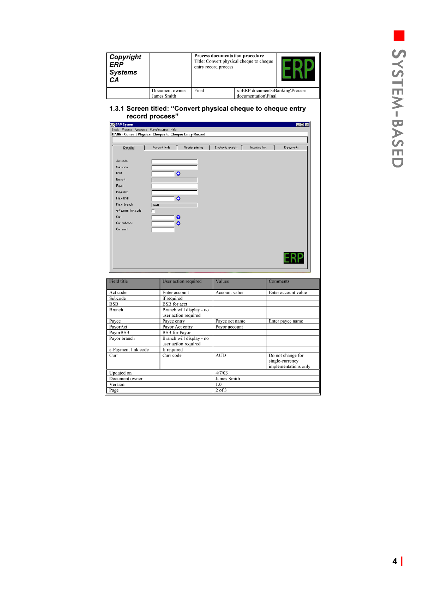| Copyright<br><b>ERP</b><br><b>Systems</b><br>CА                                                                           | Process documentation procedure<br>Title: Convert physical cheque to cheque<br>entry record process |                  |                     |                                                         |                                                              |
|---------------------------------------------------------------------------------------------------------------------------|-----------------------------------------------------------------------------------------------------|------------------|---------------------|---------------------------------------------------------|--------------------------------------------------------------|
|                                                                                                                           | Document owner:<br>James Smith                                                                      | Final            |                     | x:\ERP documents\Banking\Process<br>documentation\Final |                                                              |
| ※ ERP System<br>Stock Process Accounts Manufacturing Help                                                                 | 1.3.1 Screen titled: "Convert physical cheque to cheque entry<br>record process"                    |                  |                     |                                                         | EOE                                                          |
|                                                                                                                           | BANG - Convert Physical Cheque to Cheque Entry Record                                               |                  |                     |                                                         |                                                              |
| <b>Details</b>                                                                                                            | Account fields                                                                                      | Receipt printing | Electronic receipts | Invoicing link                                          | E-payments                                                   |
| Branch<br>Payor<br>PayorAct<br>PayorBSB<br>Payer branch<br>e-Payment link code                                            | ٥<br>٥<br>Text1<br>г                                                                                |                  |                     |                                                         |                                                              |
| Curr<br>Curr subcode<br>Curr amnt                                                                                         | ۰<br>٥                                                                                              |                  |                     |                                                         |                                                              |
|                                                                                                                           |                                                                                                     |                  |                     |                                                         |                                                              |
|                                                                                                                           | User action required                                                                                |                  | Values              |                                                         | Comments                                                     |
|                                                                                                                           | Enter account                                                                                       |                  | Account value       |                                                         | Enter account value                                          |
|                                                                                                                           | if required                                                                                         |                  |                     |                                                         |                                                              |
|                                                                                                                           | <b>BSB</b> for acct                                                                                 |                  |                     |                                                         |                                                              |
|                                                                                                                           | Branch will display - no                                                                            |                  |                     |                                                         |                                                              |
|                                                                                                                           | user action required                                                                                |                  |                     |                                                         |                                                              |
|                                                                                                                           | Payee entry                                                                                         |                  | Payee act name      |                                                         | Enter payee name                                             |
|                                                                                                                           | Payor Act entry                                                                                     |                  | Payor account       |                                                         |                                                              |
|                                                                                                                           | <b>BSB</b> for Payor                                                                                |                  |                     |                                                         |                                                              |
| <b>Field title</b><br>Act code<br>Subcode<br><b>BSB</b><br><b>Branch</b><br>Payee<br>PayorAct<br>PayorBSB<br>Payor branch | Branch will display - no                                                                            |                  |                     |                                                         |                                                              |
|                                                                                                                           | user action required                                                                                |                  |                     |                                                         |                                                              |
| e-Payment link code<br>Curr                                                                                               | If required<br>Curr code                                                                            |                  | <b>AUD</b>          |                                                         | Do not change for<br>single-currency<br>implementations only |
|                                                                                                                           |                                                                                                     |                  | 4/7/03              |                                                         |                                                              |
|                                                                                                                           |                                                                                                     |                  | James Smith         |                                                         |                                                              |
| Updated on<br>Document owner<br>Version<br>Page                                                                           |                                                                                                     |                  | 1.0<br>$2$ of $3$   |                                                         |                                                              |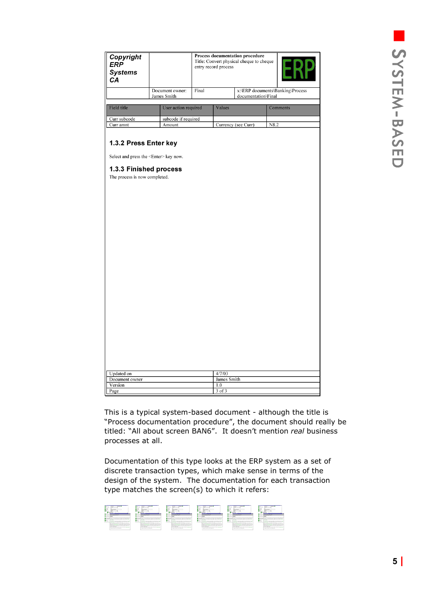| Copyright<br><b>ERP</b><br><b>Systems</b><br>CА                                                            |  |                                |       | entry record process | Process documentation procedure<br>Title: Convert physical cheque to cheque |                                  |  |
|------------------------------------------------------------------------------------------------------------|--|--------------------------------|-------|----------------------|-----------------------------------------------------------------------------|----------------------------------|--|
|                                                                                                            |  | Document owner:<br>James Smith | Final |                      | documentation\Final                                                         | x:\ERP documents\Banking\Process |  |
| Field title                                                                                                |  | User action required           |       | Values               |                                                                             | Comments                         |  |
| Curr subcode                                                                                               |  | subcode if required            |       |                      |                                                                             |                                  |  |
| Curr amnt                                                                                                  |  | Amount                         |       |                      | Currency (see Curr)                                                         | N8.2                             |  |
| Select and press the <enter> key now.<br/>1.3.3 Finished process<br/>The process is now completed.</enter> |  |                                |       |                      |                                                                             |                                  |  |
|                                                                                                            |  |                                |       |                      |                                                                             |                                  |  |
| <b>Updated</b> on                                                                                          |  |                                |       | 4/7/03               |                                                                             |                                  |  |
| Document owner<br>Version                                                                                  |  |                                |       | James Smith<br>1.0   |                                                                             |                                  |  |

This is a typical system-based document - although the title is "Process documentation procedure", the document should really be titled: "All about screen BAN6". It doesn't mention *real* business processes at all.

Documentation of this type looks at the ERP system as a set of discrete transaction types, which make sense in terms of the design of the system. The documentation for each transaction type matches the screen(s) to which it refers:

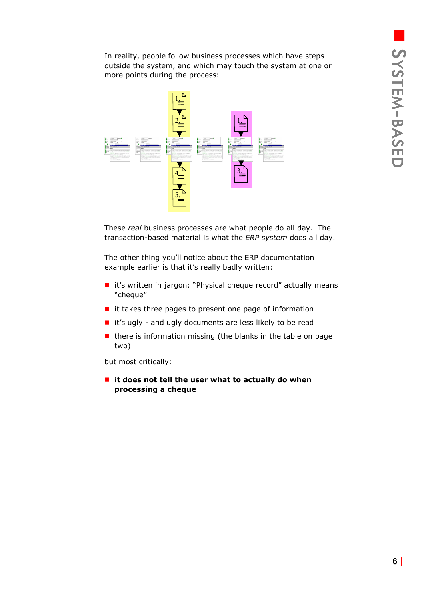In reality, people follow business processes which have steps outside the system, and which may touch the system at one or more points during the process:



These *real* business processes are what people do all day. The transaction-based material is what the *ERP system* does all day.

The other thing you'll notice about the ERP documentation example earlier is that it's really badly written:

- it's written in jargon: "Physical cheque record" actually means "cheque"
- $\blacksquare$  it takes three pages to present one page of information
- $\blacksquare$  it's ugly and ugly documents are less likely to be read
- $\blacksquare$  there is information missing (the blanks in the table on page two)

but most critically:

 **it does not tell the user what to actually do when processing a cheque**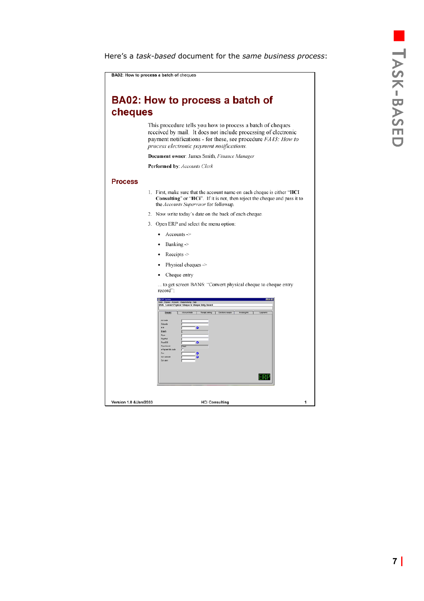## er<br>Bel TASK -BASED

<span id="page-6-0"></span>Here's a *task-based* document for the *same business process*:

| cheques | BA02: How to process a batch of                                                                                                                                                                                                                                                                                                                                                                          |
|---------|----------------------------------------------------------------------------------------------------------------------------------------------------------------------------------------------------------------------------------------------------------------------------------------------------------------------------------------------------------------------------------------------------------|
|         | This procedure tells you how to process a batch of cheques<br>received by mail. It does not include processing of electronic<br>payment notifications - for these, see procedure FA43: How to<br>process electronic payment notifications.                                                                                                                                                               |
|         | Document owner: James Smith, Finance Manager                                                                                                                                                                                                                                                                                                                                                             |
|         | Performed by: Accounts Clerk                                                                                                                                                                                                                                                                                                                                                                             |
| Process | 1. First, make sure that the account name on each cheque is either " <b>HCI</b><br>Consulting" or "HCi". If it is not, then reject the cheque and pass it to                                                                                                                                                                                                                                             |
|         | the <i>Accounts Supervisor</i> for followup.                                                                                                                                                                                                                                                                                                                                                             |
|         | 2. Now write today's date on the back of each cheque.                                                                                                                                                                                                                                                                                                                                                    |
|         | 3. Open ERP and select the menu option:                                                                                                                                                                                                                                                                                                                                                                  |
|         | $Accounts -$                                                                                                                                                                                                                                                                                                                                                                                             |
|         | Banking ->                                                                                                                                                                                                                                                                                                                                                                                               |
|         | Receipts $\rightarrow$<br>٠                                                                                                                                                                                                                                                                                                                                                                              |
|         | Physical cheques ->                                                                                                                                                                                                                                                                                                                                                                                      |
|         | Cheque entry                                                                                                                                                                                                                                                                                                                                                                                             |
|         | to get screen BAN6: "Convert physical cheque to cheque entry<br>record":                                                                                                                                                                                                                                                                                                                                 |
|         | <b>SEERP Syn</b><br>uris Manufacturia Heb<br><b>BANG - Convert Physical -Cheque to Cheque Entry Record</b><br>Account felds   Receipt painting   Electronic receipts   Invoking Ink.  <br>Details)<br><b>Autorade</b><br><b>Extende</b><br>m<br>$\bullet$<br>Elaich<br>Peja<br>PayaPol<br>PevaB9B<br>۰<br><b>Page tranch</b><br>Frau<br>-Parrent Ink code<br>Den<br>Carrouboo<br><b>Carl award</b><br>-8 |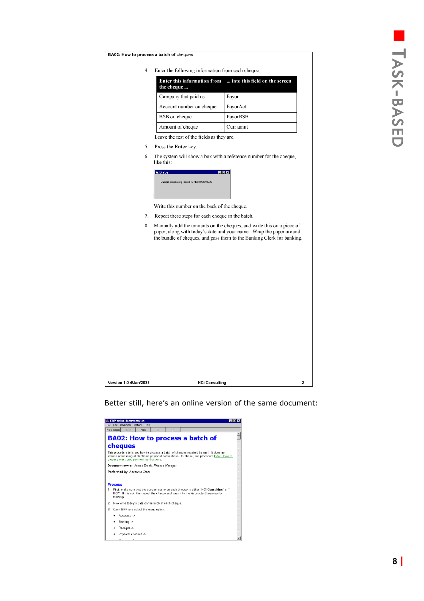| the cheque<br>Company that paid us<br>Payor<br>Account number on cheque<br>PayorAct<br>BSB on cheque<br>PayorBSB<br>Amount of cheque<br>Curr amnt<br>Leave the rest of the fields as they are.<br>Press the Enter key.<br>like this:<br>日回図<br><b>G. Dialog</b><br>Dheque processing record number 849248930<br>Write this number on the back of the cheque.<br>Repeat these steps for each cheque in the batch.<br>paper, along with today's date and your name. Wrap the paper around<br>the bundle of cheques, and pass them to the Banking Clerk for banking. |    | Enter the following information from each cheque:<br><b>Enter this information from</b> | into this field on the screen |
|-------------------------------------------------------------------------------------------------------------------------------------------------------------------------------------------------------------------------------------------------------------------------------------------------------------------------------------------------------------------------------------------------------------------------------------------------------------------------------------------------------------------------------------------------------------------|----|-----------------------------------------------------------------------------------------|-------------------------------|
| The system will show a box with a reference number for the cheque,<br>Manually add the amounts on the cheques, and write this on a piece of                                                                                                                                                                                                                                                                                                                                                                                                                       |    |                                                                                         |                               |
|                                                                                                                                                                                                                                                                                                                                                                                                                                                                                                                                                                   |    |                                                                                         |                               |
|                                                                                                                                                                                                                                                                                                                                                                                                                                                                                                                                                                   |    |                                                                                         |                               |
|                                                                                                                                                                                                                                                                                                                                                                                                                                                                                                                                                                   |    |                                                                                         |                               |
|                                                                                                                                                                                                                                                                                                                                                                                                                                                                                                                                                                   |    |                                                                                         |                               |
|                                                                                                                                                                                                                                                                                                                                                                                                                                                                                                                                                                   |    |                                                                                         |                               |
|                                                                                                                                                                                                                                                                                                                                                                                                                                                                                                                                                                   |    |                                                                                         |                               |
|                                                                                                                                                                                                                                                                                                                                                                                                                                                                                                                                                                   |    |                                                                                         |                               |
|                                                                                                                                                                                                                                                                                                                                                                                                                                                                                                                                                                   |    |                                                                                         |                               |
|                                                                                                                                                                                                                                                                                                                                                                                                                                                                                                                                                                   |    |                                                                                         |                               |
|                                                                                                                                                                                                                                                                                                                                                                                                                                                                                                                                                                   |    |                                                                                         |                               |
|                                                                                                                                                                                                                                                                                                                                                                                                                                                                                                                                                                   | 8. |                                                                                         |                               |
|                                                                                                                                                                                                                                                                                                                                                                                                                                                                                                                                                                   |    |                                                                                         |                               |
|                                                                                                                                                                                                                                                                                                                                                                                                                                                                                                                                                                   |    |                                                                                         |                               |
|                                                                                                                                                                                                                                                                                                                                                                                                                                                                                                                                                                   |    |                                                                                         |                               |

Version 1.0 4/Jan/2033 **HCi Consulting**  $\overline{2}$ 

### Better still, here's an online version of the same document:

|    | File Edit Bookmark Options Help<br>Back<br>Print                                                                                                                                                                                        |  |
|----|-----------------------------------------------------------------------------------------------------------------------------------------------------------------------------------------------------------------------------------------|--|
|    | Help Lopics<br>KK.<br>$\gg$                                                                                                                                                                                                             |  |
|    | <b>BA02: How to process a batch of</b>                                                                                                                                                                                                  |  |
|    | cheques                                                                                                                                                                                                                                 |  |
|    | This procedure tells you how to process a batch of cheques received by mail. It does not<br>include processing of electronic payment notifications - for these, see procedure FA43: How to<br>process electronic payment notifications. |  |
|    | Document owner: James Smith, Finance Manager                                                                                                                                                                                            |  |
|    | Performed by: Accounts Clerk                                                                                                                                                                                                            |  |
|    |                                                                                                                                                                                                                                         |  |
|    | <b>Process</b>                                                                                                                                                                                                                          |  |
| 1. | First, make sure that the account name on each cheque is either "HCI Consulting" or "<br>HCi". If it is not, then reject the cheque and pass it to the Accounts Supervisor for<br>followup.                                             |  |
| 2. | Now write today's date on the back of each cheque.                                                                                                                                                                                      |  |
| 3. | Open ERP and select the menu option:                                                                                                                                                                                                    |  |
|    | Accounts ->                                                                                                                                                                                                                             |  |
|    | Banking ->                                                                                                                                                                                                                              |  |
|    | Receipts ->                                                                                                                                                                                                                             |  |
|    | Physical cheques ->                                                                                                                                                                                                                     |  |
|    | Oh a most continued                                                                                                                                                                                                                     |  |

BA02: How to process a batch of cheques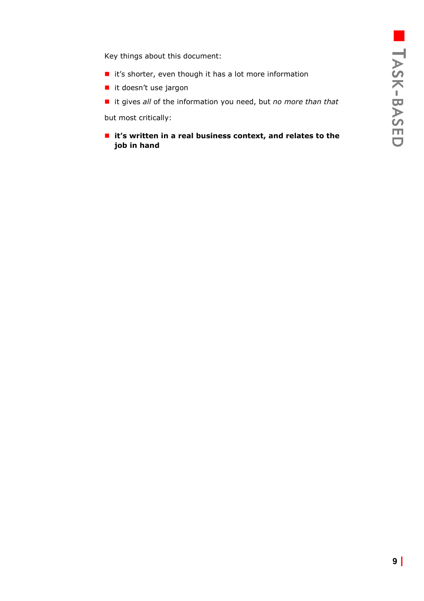Key things about this document:

- $\blacksquare$  it's shorter, even though it has a lot more information
- it doesn't use jargon
- it gives *all* of the information you need, but *no more than that*

but most critically:

 **it's written in a real business context, and relates to the job in hand**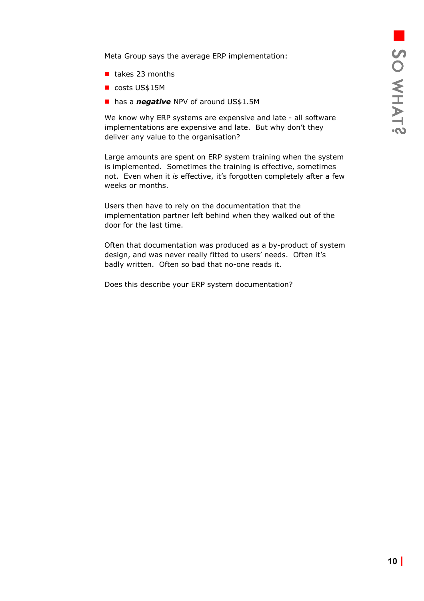<span id="page-9-0"></span>Meta Group says the average ERP implementation:

- $\blacksquare$  takes 23 months
- costs US\$15M
- **has a** *negative* NPV of around US\$1.5M

We know why ERP systems are expensive and late - all software implementations are expensive and late. But why don't they deliver any value to the organisation?

Large amounts are spent on ERP system training when the system is implemented. Sometimes the training is effective, sometimes not. Even when it *is* effective, it's forgotten completely after a few weeks or months.

Users then have to rely on the documentation that the implementation partner left behind when they walked out of the door for the last time.

Often that documentation was produced as a by-product of system design, and was never really fitted to users' needs. Often it's badly written. Often so bad that no-one reads it.

Does this describe your ERP system documentation?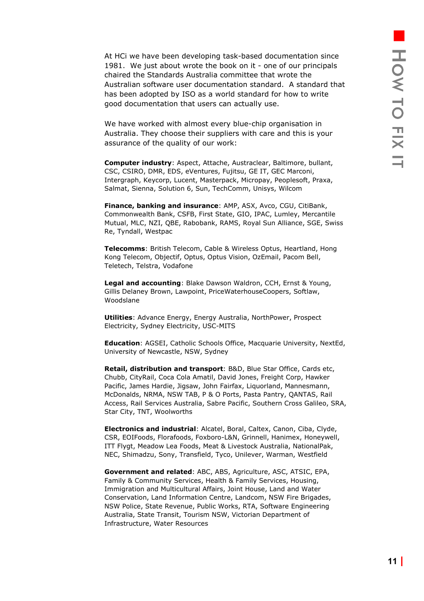<span id="page-10-0"></span>At HCi we have been developing task-based documentation since 1981. We just about wrote the book on it - one of our principals chaired the Standards Australia committee that wrote the Australian software user documentation standard. A standard that has been adopted by ISO as a world standard for how to write good documentation that users can actually use.

We have worked with almost every blue-chip organisation in Australia. They choose their suppliers with care and this is your assurance of the quality of our work:

**Computer industry**: Aspect, Attache, Austraclear, Baltimore, bullant, CSC, CSIRO, DMR, EDS, eVentures, Fujitsu, GE IT, GEC Marconi, Intergraph, Keycorp, Lucent, Masterpack, Micropay, Peoplesoft, Praxa, Salmat, Sienna, Solution 6, Sun, TechComm, Unisys, Wilcom

**Finance, banking and insurance**: AMP, ASX, Avco, CGU, CitiBank, Commonwealth Bank, CSFB, First State, GIO, IPAC, Lumley, Mercantile Mutual, MLC, NZI, QBE, Rabobank, RAMS, Royal Sun Alliance, SGE, Swiss Re, Tyndall, Westpac

**Telecomms**: British Telecom, Cable & Wireless Optus, Heartland, Hong Kong Telecom, Objectif, Optus, Optus Vision, OzEmail, Pacom Bell, Teletech, Telstra, Vodafone

**Legal and accounting**: Blake Dawson Waldron, CCH, Ernst & Young, Gillis Delaney Brown, Lawpoint, PriceWaterhouseCoopers, Softlaw, Woodslane

**Utilities**: Advance Energy, Energy Australia, NorthPower, Prospect Electricity, Sydney Electricity, USC-MITS

**Education**: AGSEI, Catholic Schools Office, Macquarie University, NextEd, University of Newcastle, NSW, Sydney

**Retail, distribution and transport**: B&D, Blue Star Office, Cards etc, Chubb, CityRail, Coca Cola Amatil, David Jones, Freight Corp, Hawker Pacific, James Hardie, Jigsaw, John Fairfax, Liquorland, Mannesmann, McDonalds, NRMA, NSW TAB, P & O Ports, Pasta Pantry, QANTAS, Rail Access, Rail Services Australia, Sabre Pacific, Southern Cross Galileo, SRA, Star City, TNT, Woolworths

**Electronics and industrial**: Alcatel, Boral, Caltex, Canon, Ciba, Clyde, CSR, EOIFoods, Florafoods, Foxboro-L&N, Grinnell, Hanimex, Honeywell, ITT Flygt, Meadow Lea Foods, Meat & Livestock Australia, NationalPak, NEC, Shimadzu, Sony, Transfield, Tyco, Unilever, Warman, Westfield

**Government and related**: ABC, ABS, Agriculture, ASC, ATSIC, EPA, Family & Community Services, Health & Family Services, Housing, Immigration and Multicultural Affairs, Joint House, Land and Water Conservation, Land Information Centre, Landcom, NSW Fire Brigades, NSW Police, State Revenue, Public Works, RTA, Software Engineering Australia, State Transit, Tourism NSW, Victorian Department of Infrastructure, Water Resources